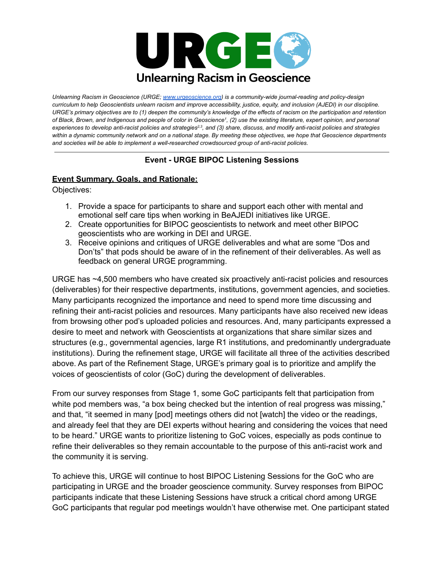

*Unlearning Racism in Geoscience (URGE; [www.urgeoscience.org](http://www.urgeoscience.org)) is a community-wide journal-reading and policy-design* curriculum to help Geoscientists unlearn racism and improve accessibility, justice, equity, and inclusion (AJEDI) in our discipline. URGE's primary objectives are to (1) deepen the community's knowledge of the effects of racism on the participation and retention of Black, Brown, and Indigenous and people of color in Geoscience<sup>1</sup>, (2) use the existing literature, expert opinion, and personal experiences to develop anti-racist policies and strategies<sup>2,3</sup>, and (3) share, discuss, and modify anti-racist policies and strategies within a dynamic community network and on a national stage. By meeting these objectives, we hope that Geoscience departments *and societies will be able to implement a well-researched crowdsourced group of anti-racist policies.*

## **Event - URGE BIPOC Listening Sessions**

## **Event Summary, Goals, and Rationale:**

Objectives:

- 1. Provide a space for participants to share and support each other with mental and emotional self care tips when working in BeAJEDI initiatives like URGE.
- 2. Create opportunities for BIPOC geoscientists to network and meet other BIPOC geoscientists who are working in DEI and URGE.
- 3. Receive opinions and critiques of URGE deliverables and what are some "Dos and Don'ts" that pods should be aware of in the refinement of their deliverables. As well as feedback on general URGE programming.

URGE has ~4,500 members who have created six proactively anti-racist policies and resources (deliverables) for their respective departments, institutions, government agencies, and societies. Many participants recognized the importance and need to spend more time discussing and refining their anti-racist policies and resources. Many participants have also received new ideas from browsing other pod's uploaded policies and resources. And, many participants expressed a desire to meet and network with Geoscientists at organizations that share similar sizes and structures (e.g., governmental agencies, large R1 institutions, and predominantly undergraduate institutions). During the refinement stage, URGE will facilitate all three of the activities described above. As part of the Refinement Stage, URGE's primary goal is to prioritize and amplify the voices of geoscientists of color (GoC) during the development of deliverables.

From our survey responses from Stage 1, some GoC participants felt that participation from white pod members was, "a box being checked but the intention of real progress was missing," and that, "it seemed in many [pod] meetings others did not [watch] the video or the readings, and already feel that they are DEI experts without hearing and considering the voices that need to be heard." URGE wants to prioritize listening to GoC voices, especially as pods continue to refine their deliverables so they remain accountable to the purpose of this anti-racist work and the community it is serving.

To achieve this, URGE will continue to host BIPOC Listening Sessions for the GoC who are participating in URGE and the broader geoscience community. Survey responses from BIPOC participants indicate that these Listening Sessions have struck a critical chord among URGE GoC participants that regular pod meetings wouldn't have otherwise met. One participant stated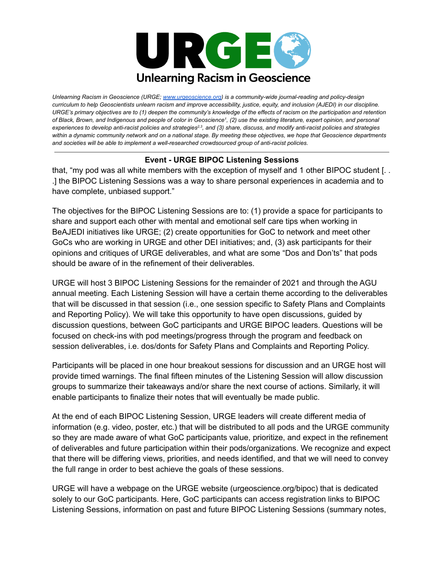

*Unlearning Racism in Geoscience (URGE; [www.urgeoscience.org](http://www.urgeoscience.org)) is a community-wide journal-reading and policy-design* curriculum to help Geoscientists unlearn racism and improve accessibility, justice, equity, and inclusion (AJEDI) in our discipline. URGE's primary objectives are to (1) deepen the community's knowledge of the effects of racism on the participation and retention of Black, Brown, and Indigenous and people of color in Geoscience<sup>1</sup>, (2) use the existing literature, expert opinion, and personal experiences to develop anti-racist policies and strategies<sup>2,3</sup>, and (3) share, discuss, and modify anti-racist policies and strategies within a dynamic community network and on a national stage. By meeting these objectives, we hope that Geoscience departments *and societies will be able to implement a well-researched crowdsourced group of anti-racist policies.*

## **Event - URGE BIPOC Listening Sessions**

that, "my pod was all white members with the exception of myself and 1 other BIPOC student [. . .] the BIPOC Listening Sessions was a way to share personal experiences in academia and to have complete, unbiased support."

The objectives for the BIPOC Listening Sessions are to: (1) provide a space for participants to share and support each other with mental and emotional self care tips when working in BeAJEDI initiatives like URGE; (2) create opportunities for GoC to network and meet other GoCs who are working in URGE and other DEI initiatives; and, (3) ask participants for their opinions and critiques of URGE deliverables, and what are some "Dos and Don'ts" that pods should be aware of in the refinement of their deliverables.

URGE will host 3 BIPOC Listening Sessions for the remainder of 2021 and through the AGU annual meeting. Each Listening Session will have a certain theme according to the deliverables that will be discussed in that session (i.e., one session specific to Safety Plans and Complaints and Reporting Policy). We will take this opportunity to have open discussions, guided by discussion questions, between GoC participants and URGE BIPOC leaders. Questions will be focused on check-ins with pod meetings/progress through the program and feedback on session deliverables, i.e. dos/donts for Safety Plans and Complaints and Reporting Policy.

Participants will be placed in one hour breakout sessions for discussion and an URGE host will provide timed warnings. The final fifteen minutes of the Listening Session will allow discussion groups to summarize their takeaways and/or share the next course of actions. Similarly, it will enable participants to finalize their notes that will eventually be made public.

At the end of each BIPOC Listening Session, URGE leaders will create different media of information (e.g. video, poster, etc.) that will be distributed to all pods and the URGE community so they are made aware of what GoC participants value, prioritize, and expect in the refinement of deliverables and future participation within their pods/organizations. We recognize and expect that there will be differing views, priorities, and needs identified, and that we will need to convey the full range in order to best achieve the goals of these sessions.

URGE will have a webpage on the URGE website (urgeoscience.org/bipoc) that is dedicated solely to our GoC participants. Here, GoC participants can access registration links to BIPOC Listening Sessions, information on past and future BIPOC Listening Sessions (summary notes,